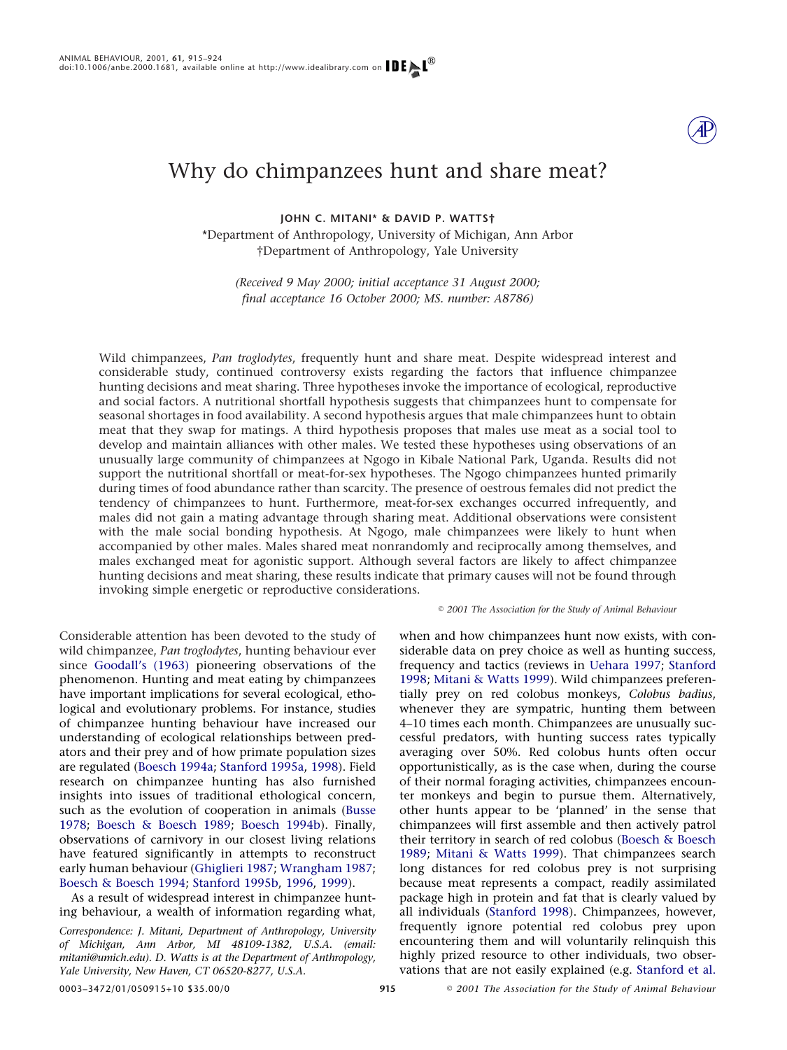# Why do chimpanzees hunt and share meat?

**JOHN C. MITANI\* & DAVID P. WATTS†**

\*Department of Anthropology, University of Michigan, Ann Arbor †Department of Anthropology, Yale University

*(Received 9 May 2000; initial acceptance 31 August 2000; final acceptance 16 October 2000; MS. number: A8786)*

Wild chimpanzees, *Pan troglodytes*, frequently hunt and share meat. Despite widespread interest and considerable study, continued controversy exists regarding the factors that influence chimpanzee hunting decisions and meat sharing. Three hypotheses invoke the importance of ecological, reproductive and social factors. A nutritional shortfall hypothesis suggests that chimpanzees hunt to compensate for seasonal shortages in food availability. A second hypothesis argues that male chimpanzees hunt to obtain meat that they swap for matings. A third hypothesis proposes that males use meat as a social tool to develop and maintain alliances with other males. We tested these hypotheses using observations of an unusually large community of chimpanzees at Ngogo in Kibale National Park, Uganda. Results did not support the nutritional shortfall or meat-for-sex hypotheses. The Ngogo chimpanzees hunted primarily during times of food abundance rather than scarcity. The presence of oestrous females did not predict the tendency of chimpanzees to hunt. Furthermore, meat-for-sex exchanges occurred infrequently, and males did not gain a mating advantage through sharing meat. Additional observations were consistent with the male social bonding hypothesis. At Ngogo, male chimpanzees were likely to hunt when accompanied by other males. Males shared meat nonrandomly and reciprocally among themselves, and males exchanged meat for agonistic support. Although several factors are likely to affect chimpanzee hunting decisions and meat sharing, these results indicate that primary causes will not be found through invoking simple energetic or reproductive considerations.

Considerable attention has been devoted to the study of wild chimpanzee, *Pan troglodytes*, hunting behaviour ever since [Goodall's \(1963\)](#page-8-0) pioneering observations of the phenomenon. Hunting and meat eating by chimpanzees have important implications for several ecological, ethological and evolutionary problems. For instance, studies of chimpanzee hunting behaviour have increased our understanding of ecological relationships between predators and their prey and of how primate population sizes are regulated [\(Boesch 1994a;](#page-8-1) [Stanford 1995a,](#page-8-2) [1998\)](#page-8-3). Field research on chimpanzee hunting has also furnished insights into issues of traditional ethological concern, such as the evolution of cooperation in animals [\(Busse](#page-8-4) [1978;](#page-8-4) [Boesch & Boesch 1989;](#page-8-5) [Boesch 1994b\)](#page-8-6). Finally, observations of carnivory in our closest living relations have featured significantly in attempts to reconstruct early human behaviour [\(Ghiglieri 1987;](#page-8-7) [Wrangham 1987;](#page-9-0) [Boesch & Boesch 1994;](#page-8-8) [Stanford 1995b,](#page-8-9) [1996,](#page-8-10) [1999\)](#page-8-11).

As a result of widespread interest in chimpanzee hunting behaviour, a wealth of information regarding what,

*Correspondence: J. Mitani, Department of Anthropology, University of Michigan, Ann Arbor, MI 48109-1382, U.S.A. (email: mitani@umich.edu). D. Watts is at the Department of Anthropology, Yale University, New Haven, CT 06520-8277, U.S.A.*

*2001 The Association for the Study of Animal Behaviour*

when and how chimpanzees hunt now exists, with considerable data on prey choice as well as hunting success, frequency and tactics (reviews in [Uehara 1997;](#page-8-12) [Stanford](#page-8-3) [1998;](#page-8-3) [Mitani & Watts 1999\)](#page-8-13). Wild chimpanzees preferentially prey on red colobus monkeys, *Colobus badius*, whenever they are sympatric, hunting them between 4–10 times each month. Chimpanzees are unusually successful predators, with hunting success rates typically averaging over 50%. Red colobus hunts often occur opportunistically, as is the case when, during the course of their normal foraging activities, chimpanzees encounter monkeys and begin to pursue them. Alternatively, other hunts appear to be 'planned' in the sense that chimpanzees will first assemble and then actively patrol their territory in search of red colobus [\(Boesch & Boesch](#page-8-5) [1989;](#page-8-5) [Mitani & Watts 1999\)](#page-8-13). That chimpanzees search long distances for red colobus prey is not surprising because meat represents a compact, readily assimilated package high in protein and fat that is clearly valued by all individuals [\(Stanford 1998\)](#page-8-3). Chimpanzees, however, frequently ignore potential red colobus prey upon encountering them and will voluntarily relinquish this highly prized resource to other individuals, two observations that are not easily explained (e.g. [Stanford et al.](#page-8-14)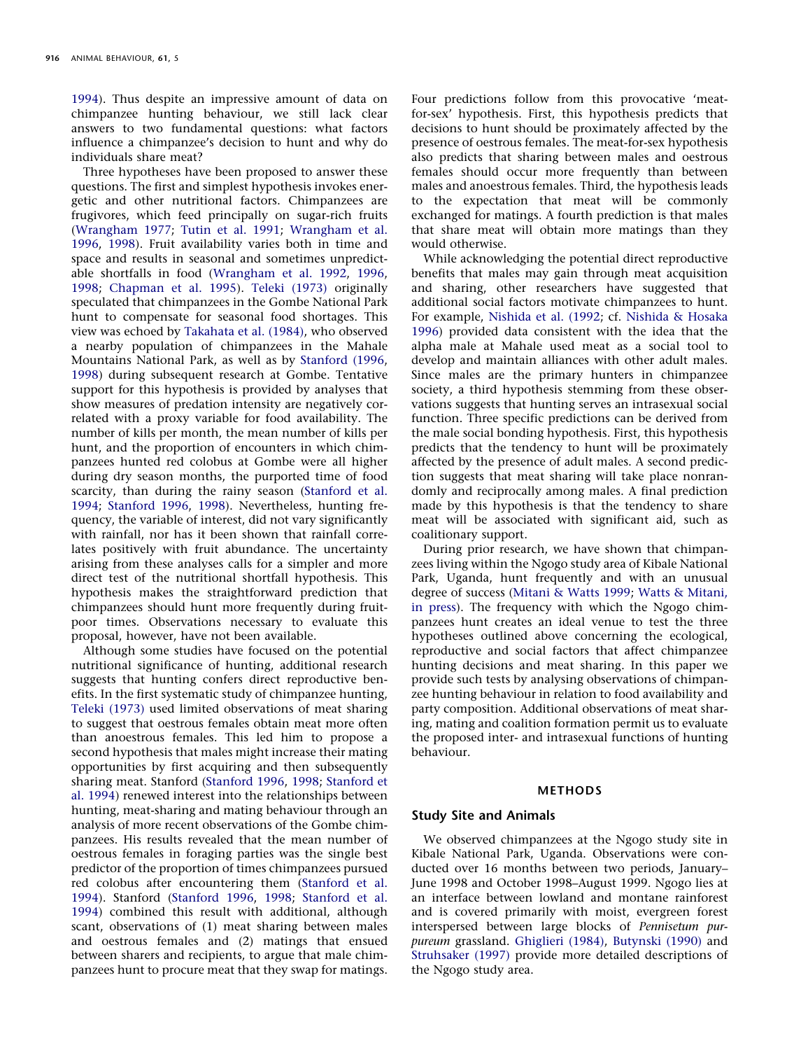[1994\)](#page-8-14). Thus despite an impressive amount of data on chimpanzee hunting behaviour, we still lack clear answers to two fundamental questions: what factors influence a chimpanzee's decision to hunt and why do individuals share meat?

Three hypotheses have been proposed to answer these questions. The first and simplest hypothesis invokes energetic and other nutritional factors. Chimpanzees are frugivores, which feed principally on sugar-rich fruits [\(Wrangham 1977;](#page-9-1) [Tutin et al. 1991;](#page-8-15) [Wrangham et al.](#page-9-2) [1996,](#page-9-2) [1998\)](#page-9-3). Fruit availability varies both in time and space and results in seasonal and sometimes unpredictable shortfalls in food [\(Wrangham et al. 1992,](#page-9-4) [1996,](#page-9-2) [1998;](#page-9-3) [Chapman et al. 1995\)](#page-8-16). [Teleki \(1973\)](#page-8-17) originally speculated that chimpanzees in the Gombe National Park hunt to compensate for seasonal food shortages. This view was echoed by [Takahata et al. \(1984\),](#page-8-18) who observed a nearby population of chimpanzees in the Mahale Mountains National Park, as well as by [Stanford \(1996,](#page-8-10) [1998\)](#page-8-3) during subsequent research at Gombe. Tentative support for this hypothesis is provided by analyses that show measures of predation intensity are negatively correlated with a proxy variable for food availability. The number of kills per month, the mean number of kills per hunt, and the proportion of encounters in which chimpanzees hunted red colobus at Gombe were all higher during dry season months, the purported time of food scarcity, than during the rainy season [\(Stanford et al.](#page-8-14) [1994;](#page-8-14) [Stanford 1996,](#page-8-10) [1998\)](#page-8-3). Nevertheless, hunting frequency, the variable of interest, did not vary significantly with rainfall, nor has it been shown that rainfall correlates positively with fruit abundance. The uncertainty arising from these analyses calls for a simpler and more direct test of the nutritional shortfall hypothesis. This hypothesis makes the straightforward prediction that chimpanzees should hunt more frequently during fruitpoor times. Observations necessary to evaluate this proposal, however, have not been available.

Although some studies have focused on the potential nutritional significance of hunting, additional research suggests that hunting confers direct reproductive benefits. In the first systematic study of chimpanzee hunting, [Teleki \(1973\)](#page-8-17) used limited observations of meat sharing to suggest that oestrous females obtain meat more often than anoestrous females. This led him to propose a second hypothesis that males might increase their mating opportunities by first acquiring and then subsequently sharing meat. Stanford [\(Stanford 1996,](#page-8-10) [1998;](#page-8-3) [Stanford et](#page-8-14) [al. 1994\)](#page-8-14) renewed interest into the relationships between hunting, meat-sharing and mating behaviour through an analysis of more recent observations of the Gombe chimpanzees. His results revealed that the mean number of oestrous females in foraging parties was the single best predictor of the proportion of times chimpanzees pursued red colobus after encountering them [\(Stanford et al.](#page-8-14) [1994\)](#page-8-14). Stanford [\(Stanford 1996,](#page-8-10) [1998;](#page-8-3) [Stanford et al.](#page-8-14) [1994\)](#page-8-14) combined this result with additional, although scant, observations of (1) meat sharing between males and oestrous females and (2) matings that ensued between sharers and recipients, to argue that male chimpanzees hunt to procure meat that they swap for matings.

Four predictions follow from this provocative 'meatfor-sex' hypothesis. First, this hypothesis predicts that decisions to hunt should be proximately affected by the presence of oestrous females. The meat-for-sex hypothesis also predicts that sharing between males and oestrous females should occur more frequently than between males and anoestrous females. Third, the hypothesis leads to the expectation that meat will be commonly exchanged for matings. A fourth prediction is that males that share meat will obtain more matings than they would otherwise.

While acknowledging the potential direct reproductive benefits that males may gain through meat acquisition and sharing, other researchers have suggested that additional social factors motivate chimpanzees to hunt. For example, [Nishida et al. \(1992;](#page-8-19) cf. [Nishida & Hosaka](#page-8-20) [1996\)](#page-8-20) provided data consistent with the idea that the alpha male at Mahale used meat as a social tool to develop and maintain alliances with other adult males. Since males are the primary hunters in chimpanzee society, a third hypothesis stemming from these observations suggests that hunting serves an intrasexual social function. Three specific predictions can be derived from the male social bonding hypothesis. First, this hypothesis predicts that the tendency to hunt will be proximately affected by the presence of adult males. A second prediction suggests that meat sharing will take place nonrandomly and reciprocally among males. A final prediction made by this hypothesis is that the tendency to share meat will be associated with significant aid, such as coalitionary support.

During prior research, we have shown that chimpanzees living within the Ngogo study area of Kibale National Park, Uganda, hunt frequently and with an unusual degree of success [\(Mitani & Watts 1999;](#page-8-13) [Watts & Mitani,](#page-9-5) [in press\)](#page-9-5). The frequency with which the Ngogo chimpanzees hunt creates an ideal venue to test the three hypotheses outlined above concerning the ecological, reproductive and social factors that affect chimpanzee hunting decisions and meat sharing. In this paper we provide such tests by analysing observations of chimpanzee hunting behaviour in relation to food availability and party composition. Additional observations of meat sharing, mating and coalition formation permit us to evaluate the proposed inter- and intrasexual functions of hunting behaviour.

## **METHODS**

# **Study Site and Animals**

We observed chimpanzees at the Ngogo study site in Kibale National Park, Uganda. Observations were conducted over 16 months between two periods, January– June 1998 and October 1998–August 1999. Ngogo lies at an interface between lowland and montane rainforest and is covered primarily with moist, evergreen forest interspersed between large blocks of *Pennisetum purpureum* grassland. [Ghiglieri \(1984\),](#page-8-21) [Butynski \(1990\)](#page-8-22) and [Struhsaker \(1997\)](#page-8-23) provide more detailed descriptions of the Ngogo study area.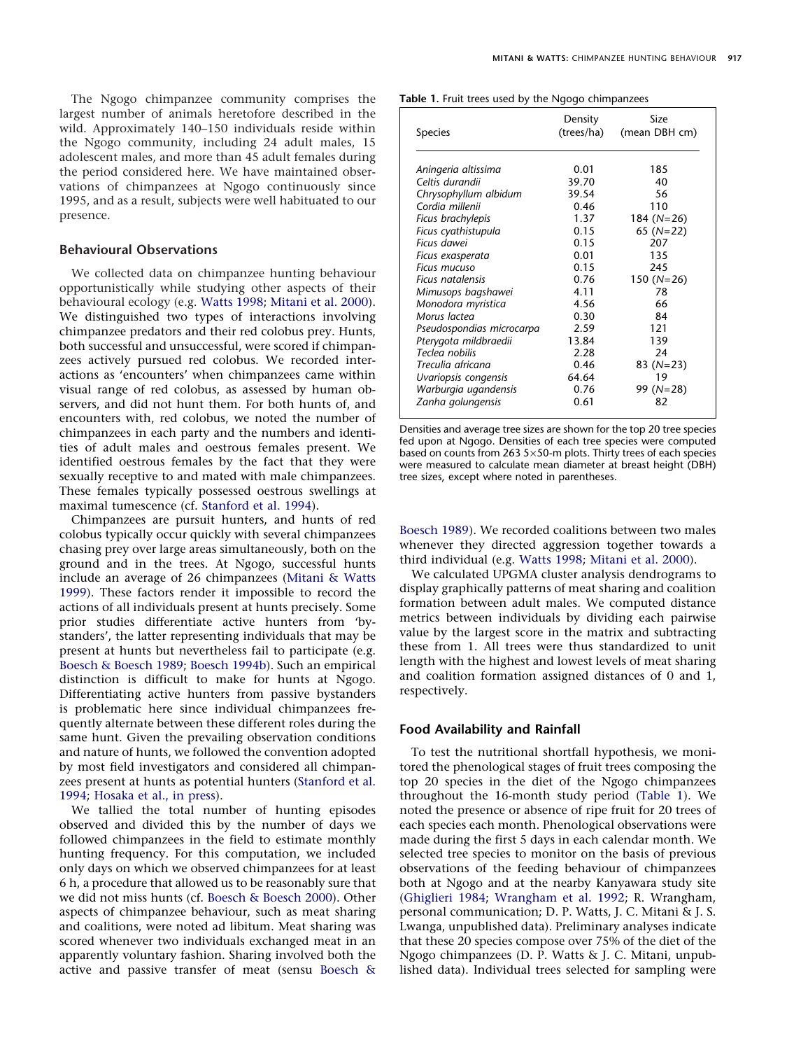The Ngogo chimpanzee community comprises the largest number of animals heretofore described in the wild. Approximately 140–150 individuals reside within the Ngogo community, including 24 adult males, 15 adolescent males, and more than 45 adult females during the period considered here. We have maintained observations of chimpanzees at Ngogo continuously since 1995, and as a result, subjects were well habituated to our presence.

### **Behavioural Observations**

We collected data on chimpanzee hunting behaviour opportunistically while studying other aspects of their behavioural ecology (e.g. [Watts 1998;](#page-9-6) [Mitani et al. 2000\)](#page-8-24). We distinguished two types of interactions involving chimpanzee predators and their red colobus prey. Hunts, both successful and unsuccessful, were scored if chimpanzees actively pursued red colobus. We recorded interactions as 'encounters' when chimpanzees came within visual range of red colobus, as assessed by human observers, and did not hunt them. For both hunts of, and encounters with, red colobus, we noted the number of chimpanzees in each party and the numbers and identities of adult males and oestrous females present. We identified oestrous females by the fact that they were sexually receptive to and mated with male chimpanzees. These females typically possessed oestrous swellings at maximal tumescence (cf. [Stanford et al. 1994\)](#page-8-14).

Chimpanzees are pursuit hunters, and hunts of red colobus typically occur quickly with several chimpanzees chasing prey over large areas simultaneously, both on the ground and in the trees. At Ngogo, successful hunts include an average of 26 chimpanzees [\(Mitani & Watts](#page-8-13) [1999\)](#page-8-13). These factors render it impossible to record the actions of all individuals present at hunts precisely. Some prior studies differentiate active hunters from 'bystanders', the latter representing individuals that may be present at hunts but nevertheless fail to participate (e.g. [Boesch & Boesch 1989;](#page-8-5) [Boesch 1994b\)](#page-8-6). Such an empirical distinction is difficult to make for hunts at Ngogo. Differentiating active hunters from passive bystanders is problematic here since individual chimpanzees frequently alternate between these different roles during the same hunt. Given the prevailing observation conditions and nature of hunts, we followed the convention adopted by most field investigators and considered all chimpanzees present at hunts as potential hunters [\(Stanford et al.](#page-8-14) [1994;](#page-8-14) [Hosaka et al., in press\)](#page-8-25).

We tallied the total number of hunting episodes observed and divided this by the number of days we followed chimpanzees in the field to estimate monthly hunting frequency. For this computation, we included only days on which we observed chimpanzees for at least 6 h, a procedure that allowed us to be reasonably sure that we did not miss hunts (cf. [Boesch & Boesch 2000\)](#page-8-26). Other aspects of chimpanzee behaviour, such as meat sharing and coalitions, were noted ad libitum. Meat sharing was scored whenever two individuals exchanged meat in an apparently voluntary fashion. Sharing involved both the active and passive transfer of meat (sensu [Boesch &](#page-8-5)

<span id="page-2-0"></span>**Table 1.** Fruit trees used by the Ngogo chimpanzees

| <b>Species</b>            | Density<br>(trees/ha) | Size<br>(mean DBH cm) |
|---------------------------|-----------------------|-----------------------|
| Aningeria altissima       | 0.01                  | 185                   |
| Celtis durandii           | 39.70                 | 40                    |
| Chrysophyllum albidum     | 39.54                 | 56                    |
| Cordia millenii           | 0.46                  | 110                   |
| Ficus brachylepis         | 1.37                  | $184 (N=26)$          |
| Ficus cyathistupula       | 0.15                  | $65(N=22)$            |
| Ficus dawei               | 0.15                  | 207                   |
| Ficus exasperata          | 0.01                  | 135                   |
| Ficus mucuso              | 0.15                  | 245                   |
| Ficus natalensis          | 0.76                  | $150(N=26)$           |
| Mimusops bagshawei        | 4.11                  | 78                    |
| Monodora myristica        | 4.56                  | 66                    |
| Morus lactea              | 0.30                  | 84                    |
| Pseudospondias microcarpa | 2.59                  | 121                   |
| Pterygota mildbraedii     | 13.84                 | 139                   |
| Teclea nobilis            | 2.28                  | 24                    |
| Treculia africana         | 0.46                  | $83(N=23)$            |
| Uvariopsis congensis      | 64.64                 | 19                    |
| Warburgia ugandensis      | 0.76                  | 99 (N=28)             |
| Zanha golungensis         | 0.61                  | 82                    |

Densities and average tree sizes are shown for the top 20 tree species fed upon at Ngogo. Densities of each tree species were computed based on counts from 263 5 $\times$ 50-m plots. Thirty trees of each species were measured to calculate mean diameter at breast height (DBH) tree sizes, except where noted in parentheses.

[Boesch 1989\)](#page-8-5). We recorded coalitions between two males whenever they directed aggression together towards a third individual (e.g. [Watts 1998;](#page-9-6) [Mitani et al. 2000\)](#page-8-24).

We calculated UPGMA cluster analysis dendrograms to display graphically patterns of meat sharing and coalition formation between adult males. We computed distance metrics between individuals by dividing each pairwise value by the largest score in the matrix and subtracting these from 1. All trees were thus standardized to unit length with the highest and lowest levels of meat sharing and coalition formation assigned distances of 0 and 1, respectively.

# **Food Availability and Rainfall**

To test the nutritional shortfall hypothesis, we monitored the phenological stages of fruit trees composing the top 20 species in the diet of the Ngogo chimpanzees throughout the 16-month study period [\(Table 1\)](#page-2-0). We noted the presence or absence of ripe fruit for 20 trees of each species each month. Phenological observations were made during the first 5 days in each calendar month. We selected tree species to monitor on the basis of previous observations of the feeding behaviour of chimpanzees both at Ngogo and at the nearby Kanyawara study site [\(Ghiglieri 1984;](#page-8-21) [Wrangham et al. 1992;](#page-9-4) R. Wrangham, personal communication; D. P. Watts, J. C. Mitani & J. S. Lwanga, unpublished data). Preliminary analyses indicate that these 20 species compose over 75% of the diet of the Ngogo chimpanzees (D. P. Watts & J. C. Mitani, unpublished data). Individual trees selected for sampling were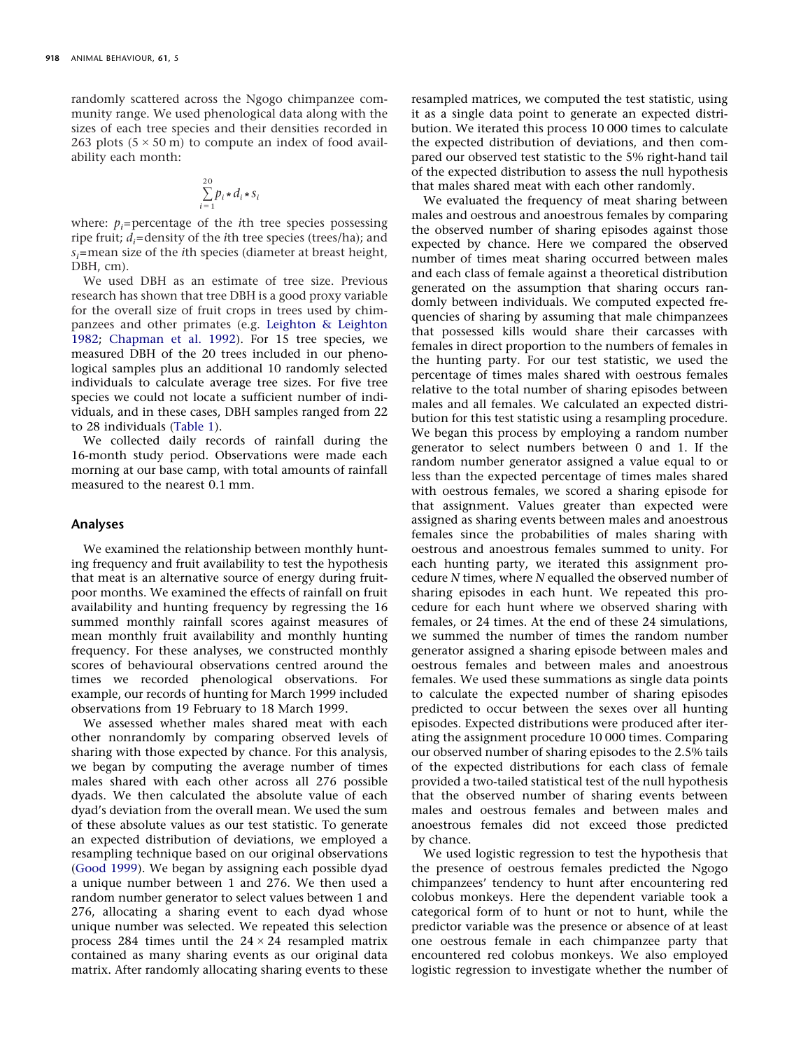randomly scattered across the Ngogo chimpanzee community range. We used phenological data along with the sizes of each tree species and their densities recorded in 263 plots  $(5 \times 50 \text{ m})$  to compute an index of food availability each month:

$$
\sum_{i=1}^{20} p_i * d_i * s_i
$$

where:  $p_i$ =percentage of the *i*th tree species possessing ripe fruit; *di*=density of the *i*th tree species (trees/ha); and *si*=mean size of the *i*th species (diameter at breast height, DBH, cm).

We used DBH as an estimate of tree size. Previous research has shown that tree DBH is a good proxy variable for the overall size of fruit crops in trees used by chimpanzees and other primates (e.g. [Leighton & Leighton](#page-8-27) [1982;](#page-8-27) [Chapman et al. 1992\)](#page-8-28). For 15 tree species, we measured DBH of the 20 trees included in our phenological samples plus an additional 10 randomly selected individuals to calculate average tree sizes. For five tree species we could not locate a sufficient number of individuals, and in these cases, DBH samples ranged from 22 to 28 individuals [\(Table 1\)](#page-2-0).

We collected daily records of rainfall during the 16-month study period. Observations were made each morning at our base camp, with total amounts of rainfall measured to the nearest 0.1 mm.

### **Analyses**

We examined the relationship between monthly hunting frequency and fruit availability to test the hypothesis that meat is an alternative source of energy during fruitpoor months. We examined the effects of rainfall on fruit availability and hunting frequency by regressing the 16 summed monthly rainfall scores against measures of mean monthly fruit availability and monthly hunting frequency. For these analyses, we constructed monthly scores of behavioural observations centred around the times we recorded phenological observations. For example, our records of hunting for March 1999 included observations from 19 February to 18 March 1999.

We assessed whether males shared meat with each other nonrandomly by comparing observed levels of sharing with those expected by chance. For this analysis, we began by computing the average number of times males shared with each other across all 276 possible dyads. We then calculated the absolute value of each dyad's deviation from the overall mean. We used the sum of these absolute values as our test statistic. To generate an expected distribution of deviations, we employed a resampling technique based on our original observations [\(Good 1999\)](#page-8-29). We began by assigning each possible dyad a unique number between 1 and 276. We then used a random number generator to select values between 1 and 276, allocating a sharing event to each dyad whose unique number was selected. We repeated this selection process 284 times until the  $24 \times 24$  resampled matrix contained as many sharing events as our original data matrix. After randomly allocating sharing events to these resampled matrices, we computed the test statistic, using it as a single data point to generate an expected distribution. We iterated this process 10 000 times to calculate the expected distribution of deviations, and then compared our observed test statistic to the 5% right-hand tail of the expected distribution to assess the null hypothesis that males shared meat with each other randomly.

We evaluated the frequency of meat sharing between males and oestrous and anoestrous females by comparing the observed number of sharing episodes against those expected by chance. Here we compared the observed number of times meat sharing occurred between males and each class of female against a theoretical distribution generated on the assumption that sharing occurs randomly between individuals. We computed expected frequencies of sharing by assuming that male chimpanzees that possessed kills would share their carcasses with females in direct proportion to the numbers of females in the hunting party. For our test statistic, we used the percentage of times males shared with oestrous females relative to the total number of sharing episodes between males and all females. We calculated an expected distribution for this test statistic using a resampling procedure. We began this process by employing a random number generator to select numbers between 0 and 1. If the random number generator assigned a value equal to or less than the expected percentage of times males shared with oestrous females, we scored a sharing episode for that assignment. Values greater than expected were assigned as sharing events between males and anoestrous females since the probabilities of males sharing with oestrous and anoestrous females summed to unity. For each hunting party, we iterated this assignment procedure *N* times, where *N* equalled the observed number of sharing episodes in each hunt. We repeated this procedure for each hunt where we observed sharing with females, or 24 times. At the end of these 24 simulations, we summed the number of times the random number generator assigned a sharing episode between males and oestrous females and between males and anoestrous females. We used these summations as single data points to calculate the expected number of sharing episodes predicted to occur between the sexes over all hunting episodes. Expected distributions were produced after iterating the assignment procedure 10 000 times. Comparing our observed number of sharing episodes to the 2.5% tails of the expected distributions for each class of female provided a two-tailed statistical test of the null hypothesis that the observed number of sharing events between males and oestrous females and between males and anoestrous females did not exceed those predicted by chance.

We used logistic regression to test the hypothesis that the presence of oestrous females predicted the Ngogo chimpanzees' tendency to hunt after encountering red colobus monkeys. Here the dependent variable took a categorical form of to hunt or not to hunt, while the predictor variable was the presence or absence of at least one oestrous female in each chimpanzee party that encountered red colobus monkeys. We also employed logistic regression to investigate whether the number of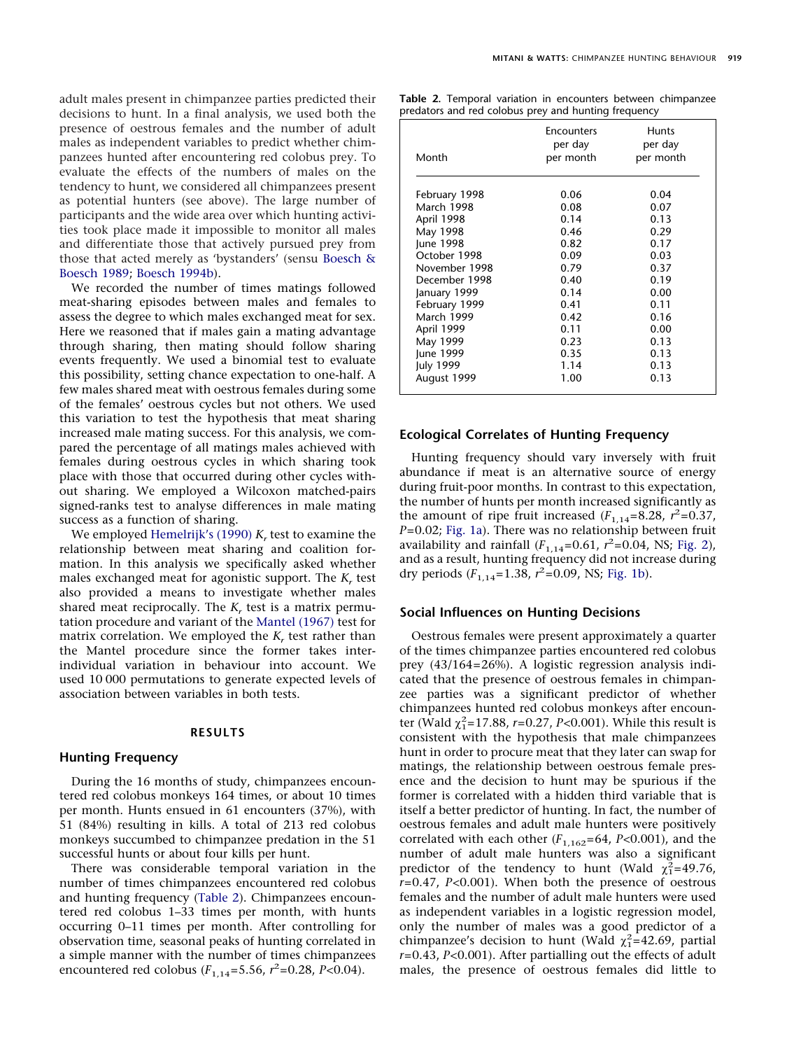adult males present in chimpanzee parties predicted their decisions to hunt. In a final analysis, we used both the presence of oestrous females and the number of adult males as independent variables to predict whether chimpanzees hunted after encountering red colobus prey. To evaluate the effects of the numbers of males on the tendency to hunt, we considered all chimpanzees present as potential hunters (see above). The large number of participants and the wide area over which hunting activities took place made it impossible to monitor all males and differentiate those that actively pursued prey from those that acted merely as 'bystanders' (sensu [Boesch &](#page-8-5) [Boesch 1989;](#page-8-5) [Boesch 1994b\)](#page-8-6).

We recorded the number of times matings followed meat-sharing episodes between males and females to assess the degree to which males exchanged meat for sex. Here we reasoned that if males gain a mating advantage through sharing, then mating should follow sharing events frequently. We used a binomial test to evaluate this possibility, setting chance expectation to one-half. A few males shared meat with oestrous females during some of the females' oestrous cycles but not others. We used this variation to test the hypothesis that meat sharing increased male mating success. For this analysis, we compared the percentage of all matings males achieved with females during oestrous cycles in which sharing took place with those that occurred during other cycles without sharing. We employed a Wilcoxon matched-pairs signed-ranks test to analyse differences in male mating success as a function of sharing.

We employed [Hemelrijk's \(1990\)](#page-8-30) *K*<sub>r</sub> test to examine the relationship between meat sharing and coalition formation. In this analysis we specifically asked whether males exchanged meat for agonistic support. The  $K_r$  test also provided a means to investigate whether males shared meat reciprocally. The  $K_r$  test is a matrix permutation procedure and variant of the [Mantel \(1967\)](#page-8-31) test for matrix correlation. We employed the  $K_r$  test rather than the Mantel procedure since the former takes interindividual variation in behaviour into account. We used 10 000 permutations to generate expected levels of association between variables in both tests.

# **RESULTS**

# **Hunting Frequency**

During the 16 months of study, chimpanzees encountered red colobus monkeys 164 times, or about 10 times per month. Hunts ensued in 61 encounters (37%), with 51 (84%) resulting in kills. A total of 213 red colobus monkeys succumbed to chimpanzee predation in the 51 successful hunts or about four kills per hunt.

There was considerable temporal variation in the number of times chimpanzees encountered red colobus and hunting frequency [\(Table 2\)](#page-4-0). Chimpanzees encountered red colobus 1–33 times per month, with hunts occurring 0–11 times per month. After controlling for observation time, seasonal peaks of hunting correlated in a simple manner with the number of times chimpanzees encountered red colobus  $(F_{1,14}=5.56, r^2=0.28, P<0.04)$ .

<span id="page-4-0"></span>**Table 2.** Temporal variation in encounters between chimpanzee predators and red colobus prey and hunting frequency

| Month             | Encounters<br>per day<br>per month | Hunts<br>per day<br>per month |
|-------------------|------------------------------------|-------------------------------|
| February 1998     | 0.06                               | 0.04                          |
| <b>March 1998</b> | 0.08                               | 0.07                          |
| April 1998        | 0.14                               | 0.13                          |
| May 1998          | 0.46                               | 0.29                          |
| June 1998         | 0.82                               | 0.17                          |
| October 1998      | 0.09                               | 0.03                          |
| November 1998     | 0.79                               | 0.37                          |
| December 1998     | 0.40                               | 0.19                          |
| January 1999      | 0.14                               | 0.00                          |
| February 1999     | 0.41                               | 0.11                          |
| March 1999        | 0.42                               | 0.16                          |
| April 1999        | 0.11                               | 0.00                          |
| May 1999          | 0.23                               | 0.13                          |
| June 1999         | 0.35                               | 0.13                          |
| July 1999         | 1.14                               | 0.13                          |
| August 1999       | 1.00                               | 0.13                          |

## **Ecological Correlates of Hunting Frequency**

Hunting frequency should vary inversely with fruit abundance if meat is an alternative source of energy during fruit-poor months. In contrast to this expectation, the number of hunts per month increased significantly as the amount of ripe fruit increased  $(F_{1,14}=8.28, r^2=0.37,$ *P*=0.02; [Fig. 1a\)](#page-5-0). There was no relationship between fruit availability and rainfall  $(F_{1,14}=0.61, r^2=0.04, \text{ NS}; \text{ Fig. 2}),$ and as a result, hunting frequency did not increase during dry periods  $(F_{1,14}=1.38, r^2=0.09, \text{NS}$ ; [Fig. 1b\)](#page-5-0).

# **Social Influences on Hunting Decisions**

Oestrous females were present approximately a quarter of the times chimpanzee parties encountered red colobus prey (43/164=26%). A logistic regression analysis indicated that the presence of oestrous females in chimpanzee parties was a significant predictor of whether chimpanzees hunted red colobus monkeys after encounter (Wald  $\chi_1^2$ =17.88, *r*=0.27, *P*<0.001). While this result is consistent with the hypothesis that male chimpanzees hunt in order to procure meat that they later can swap for matings, the relationship between oestrous female presence and the decision to hunt may be spurious if the former is correlated with a hidden third variable that is itself a better predictor of hunting. In fact, the number of oestrous females and adult male hunters were positively correlated with each other  $(F_{1,162}=64, P<0.001)$ , and the number of adult male hunters was also a significant predictor of the tendency to hunt (Wald  $\chi_1^2$ =49.76, *r*=0.47, *P<*0.001). When both the presence of oestrous females and the number of adult male hunters were used as independent variables in a logistic regression model, only the number of males was a good predictor of a chimpanzee's decision to hunt (Wald  $\chi^2$ =42.69, partial *r*=0.43, *P<*0.001). After partialling out the effects of adult males, the presence of oestrous females did little to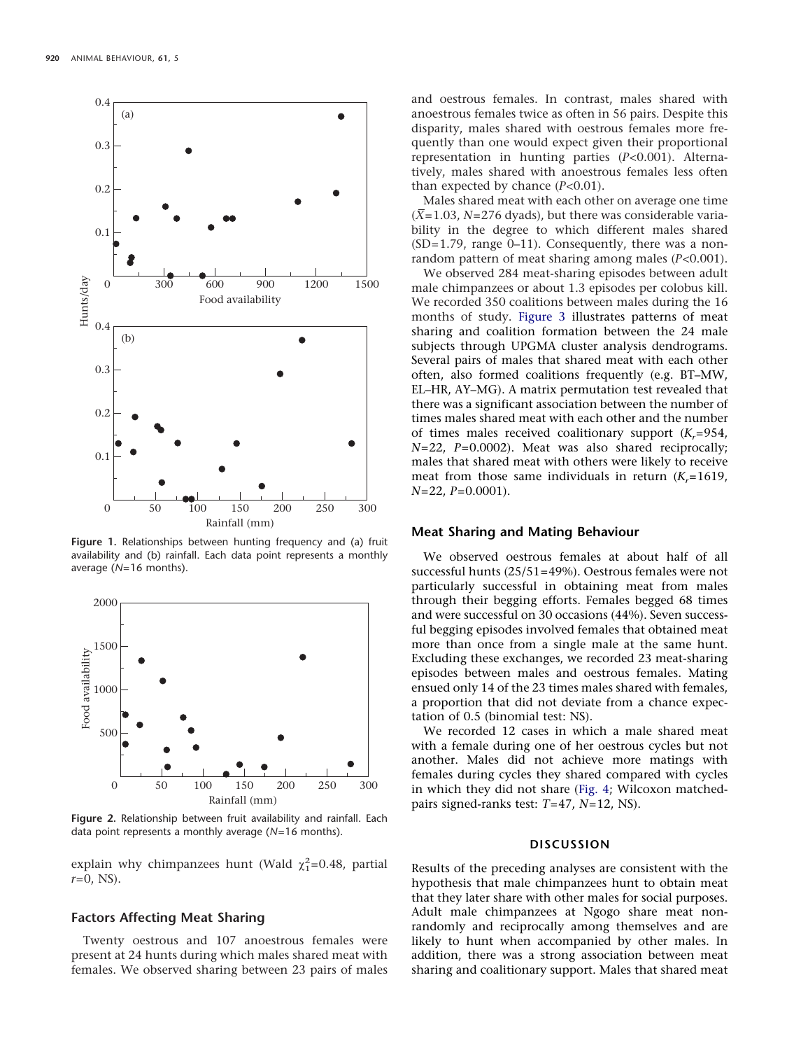<span id="page-5-0"></span>

**Figure 1.** Relationships between hunting frequency and (a) fruit availability and (b) rainfall. Each data point represents a monthly average (*N*=16 months).

<span id="page-5-1"></span>

**Figure 2.** Relationship between fruit availability and rainfall. Each data point represents a monthly average (*N*=16 months).

explain why chimpanzees hunt (Wald  $\chi^2$ =0.48, partial *r*=0, NS).

# **Factors Affecting Meat Sharing**

Twenty oestrous and 107 anoestrous females were present at 24 hunts during which males shared meat with females. We observed sharing between 23 pairs of males and oestrous females. In contrast, males shared with anoestrous females twice as often in 56 pairs. Despite this disparity, males shared with oestrous females more frequently than one would expect given their proportional representation in hunting parties (*P<*0.001). Alternatively, males shared with anoestrous females less often than expected by chance (*P<*0.01).

Males shared meat with each other on average one time  $(\bar{X}=1.03, N=276 \text{ dyads})$ , but there was considerable variability in the degree to which different males shared  $(SD=1.79,$  range  $0-11)$ . Consequently, there was a nonrandom pattern of meat sharing among males (*P<*0.001).

We observed 284 meat-sharing episodes between adult male chimpanzees or about 1.3 episodes per colobus kill. We recorded 350 coalitions between males during the 16 months of study. [Figure 3](#page-6-0) illustrates patterns of meat sharing and coalition formation between the 24 male subjects through UPGMA cluster analysis dendrograms. Several pairs of males that shared meat with each other often, also formed coalitions frequently (e.g. BT–MW, EL–HR, AY–MG). A matrix permutation test revealed that there was a significant association between the number of times males shared meat with each other and the number of times males received coalitionary support  $(K<sub>r</sub>=954)$ , *N*=22, *P*=0.0002). Meat was also shared reciprocally; males that shared meat with others were likely to receive meat from those same individuals in return  $(K_r=1619)$ , *N*=22, *P*=0.0001).

# **Meat Sharing and Mating Behaviour**

We observed oestrous females at about half of all successful hunts (25/51=49%). Oestrous females were not particularly successful in obtaining meat from males through their begging efforts. Females begged 68 times and were successful on 30 occasions (44%). Seven successful begging episodes involved females that obtained meat more than once from a single male at the same hunt. Excluding these exchanges, we recorded 23 meat-sharing episodes between males and oestrous females. Mating ensued only 14 of the 23 times males shared with females, a proportion that did not deviate from a chance expectation of 0.5 (binomial test: NS).

We recorded 12 cases in which a male shared meat with a female during one of her oestrous cycles but not another. Males did not achieve more matings with females during cycles they shared compared with cycles in which they did not share [\(Fig. 4;](#page-6-1) Wilcoxon matchedpairs signed-ranks test: *T*=47, *N*=12, NS).

# **DISCUSSION**

Results of the preceding analyses are consistent with the hypothesis that male chimpanzees hunt to obtain meat that they later share with other males for social purposes. Adult male chimpanzees at Ngogo share meat nonrandomly and reciprocally among themselves and are likely to hunt when accompanied by other males. In addition, there was a strong association between meat sharing and coalitionary support. Males that shared meat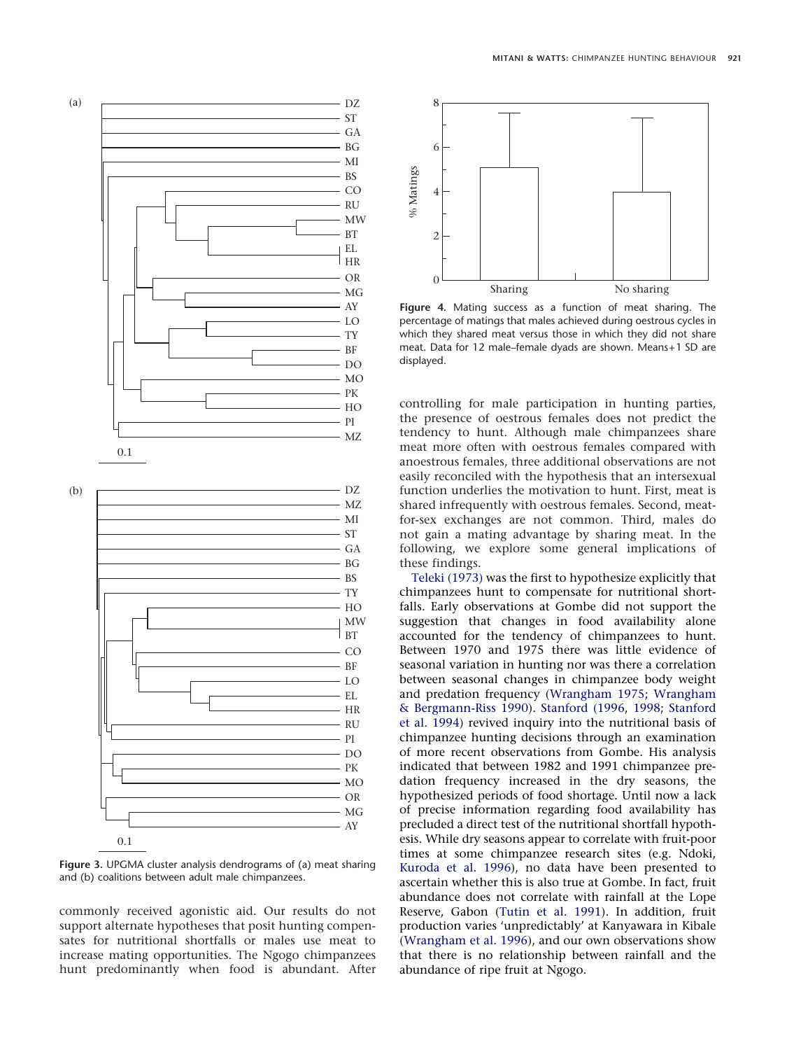<span id="page-6-0"></span>



commonly received agonistic aid. Our results do not support alternate hypotheses that posit hunting compensates for nutritional shortfalls or males use meat to increase mating opportunities. The Ngogo chimpanzees hunt predominantly when food is abundant. After

<span id="page-6-1"></span>

**Figure 4.** Mating success as a function of meat sharing. The percentage of matings that males achieved during oestrous cycles in which they shared meat versus those in which they did not share meat. Data for 12 male–female dyads are shown. Means+1 SD are displayed.

controlling for male participation in hunting parties, the presence of oestrous females does not predict the tendency to hunt. Although male chimpanzees share meat more often with oestrous females compared with anoestrous females, three additional observations are not easily reconciled with the hypothesis that an intersexual function underlies the motivation to hunt. First, meat is shared infrequently with oestrous females. Second, meatfor-sex exchanges are not common. Third, males do not gain a mating advantage by sharing meat. In the following, we explore some general implications of these findings.

[Teleki \(1973\)](#page-8-17) was the first to hypothesize explicitly that chimpanzees hunt to compensate for nutritional shortfalls. Early observations at Gombe did not support the suggestion that changes in food availability alone accounted for the tendency of chimpanzees to hunt. Between 1970 and 1975 there was little evidence of seasonal variation in hunting nor was there a correlation between seasonal changes in chimpanzee body weight and predation frequency [\(Wrangham 1975;](#page-9-7) [Wrangham](#page-9-8) [& Bergmann-Riss 1990\)](#page-9-8). [Stanford \(1996,](#page-8-10) [1998;](#page-8-3) [Stanford](#page-8-14) [et al. 1994\)](#page-8-14) revived inquiry into the nutritional basis of chimpanzee hunting decisions through an examination of more recent observations from Gombe. His analysis indicated that between 1982 and 1991 chimpanzee predation frequency increased in the dry seasons, the hypothesized periods of food shortage. Until now a lack of precise information regarding food availability has precluded a direct test of the nutritional shortfall hypothesis. While dry seasons appear to correlate with fruit-poor times at some chimpanzee research sites (e.g. Ndoki, [Kuroda et al. 1996\)](#page-8-32), no data have been presented to ascertain whether this is also true at Gombe. In fact, fruit abundance does not correlate with rainfall at the Lope Reserve, Gabon [\(Tutin et al. 1991\)](#page-8-15). In addition, fruit production varies 'unpredictably' at Kanyawara in Kibale [\(Wrangham et al. 1996\)](#page-9-2), and our own observations show that there is no relationship between rainfall and the abundance of ripe fruit at Ngogo.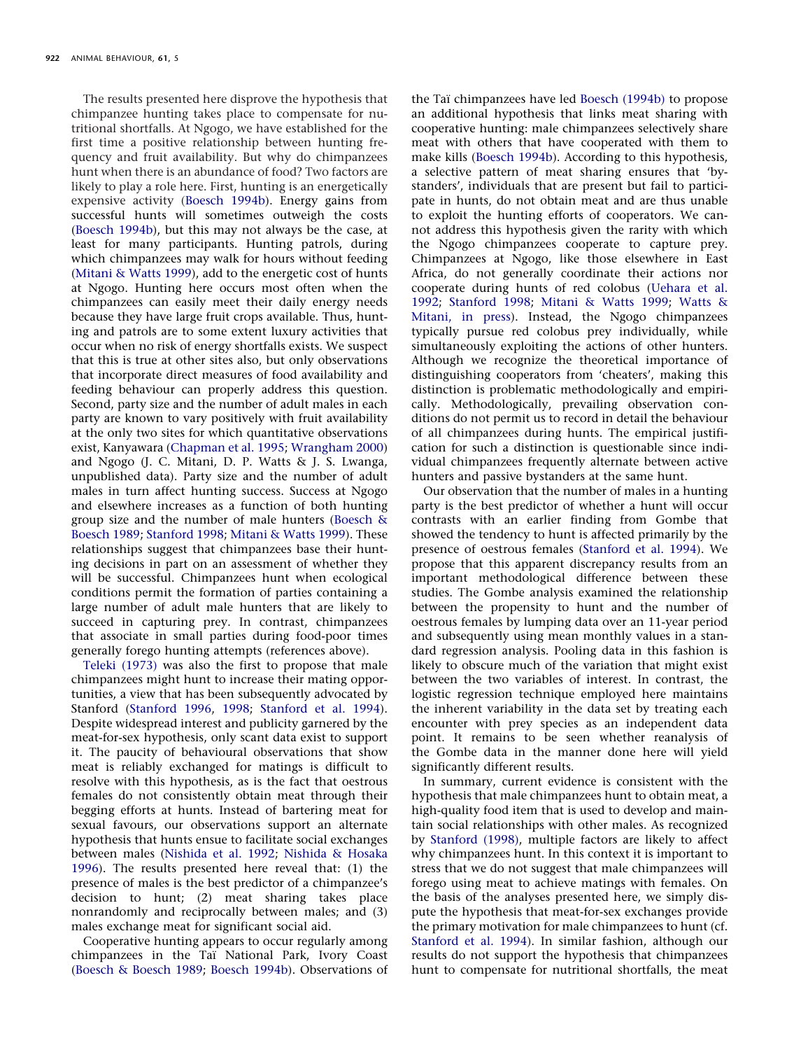The results presented here disprove the hypothesis that chimpanzee hunting takes place to compensate for nutritional shortfalls. At Ngogo, we have established for the first time a positive relationship between hunting frequency and fruit availability. But why do chimpanzees hunt when there is an abundance of food? Two factors are likely to play a role here. First, hunting is an energetically expensive activity [\(Boesch 1994b\)](#page-8-6). Energy gains from successful hunts will sometimes outweigh the costs [\(Boesch 1994b\)](#page-8-6), but this may not always be the case, at least for many participants. Hunting patrols, during which chimpanzees may walk for hours without feeding [\(Mitani & Watts 1999\)](#page-8-13), add to the energetic cost of hunts at Ngogo. Hunting here occurs most often when the chimpanzees can easily meet their daily energy needs because they have large fruit crops available. Thus, hunting and patrols are to some extent luxury activities that occur when no risk of energy shortfalls exists. We suspect that this is true at other sites also, but only observations that incorporate direct measures of food availability and feeding behaviour can properly address this question. Second, party size and the number of adult males in each party are known to vary positively with fruit availability at the only two sites for which quantitative observations exist, Kanyawara [\(Chapman et al. 1995;](#page-8-16) [Wrangham 2000\)](#page-9-9) and Ngogo (J. C. Mitani, D. P. Watts & J. S. Lwanga, unpublished data). Party size and the number of adult males in turn affect hunting success. Success at Ngogo and elsewhere increases as a function of both hunting group size and the number of male hunters [\(Boesch &](#page-8-5) [Boesch 1989;](#page-8-5) [Stanford 1998;](#page-8-3) [Mitani & Watts 1999\)](#page-8-13). These relationships suggest that chimpanzees base their hunting decisions in part on an assessment of whether they will be successful. Chimpanzees hunt when ecological conditions permit the formation of parties containing a large number of adult male hunters that are likely to succeed in capturing prey. In contrast, chimpanzees that associate in small parties during food-poor times generally forego hunting attempts (references above).

[Teleki \(1973\)](#page-8-17) was also the first to propose that male chimpanzees might hunt to increase their mating opportunities, a view that has been subsequently advocated by Stanford [\(Stanford 1996,](#page-8-10) [1998;](#page-8-3) [Stanford et al. 1994\)](#page-8-14). Despite widespread interest and publicity garnered by the meat-for-sex hypothesis, only scant data exist to support it. The paucity of behavioural observations that show meat is reliably exchanged for matings is difficult to resolve with this hypothesis, as is the fact that oestrous females do not consistently obtain meat through their begging efforts at hunts. Instead of bartering meat for sexual favours, our observations support an alternate hypothesis that hunts ensue to facilitate social exchanges between males [\(Nishida et al. 1992;](#page-8-19) [Nishida & Hosaka](#page-8-20) [1996\)](#page-8-20). The results presented here reveal that: (1) the presence of males is the best predictor of a chimpanzee's decision to hunt; (2) meat sharing takes place nonrandomly and reciprocally between males; and (3) males exchange meat for significant social aid.

Cooperative hunting appears to occur regularly among chimpanzees in the Taï National Park, Ivory Coast [\(Boesch & Boesch 1989;](#page-8-5) [Boesch 1994b\)](#page-8-6). Observations of the Taï chimpanzees have led [Boesch \(1994b\)](#page-8-6) to propose an additional hypothesis that links meat sharing with cooperative hunting: male chimpanzees selectively share meat with others that have cooperated with them to make kills [\(Boesch 1994b\)](#page-8-6). According to this hypothesis, a selective pattern of meat sharing ensures that 'bystanders', individuals that are present but fail to participate in hunts, do not obtain meat and are thus unable to exploit the hunting efforts of cooperators. We cannot address this hypothesis given the rarity with which the Ngogo chimpanzees cooperate to capture prey. Chimpanzees at Ngogo, like those elsewhere in East Africa, do not generally coordinate their actions nor cooperate during hunts of red colobus [\(Uehara et al.](#page-8-33) [1992;](#page-8-33) [Stanford 1998;](#page-8-3) [Mitani & Watts 1999;](#page-8-13) [Watts &](#page-9-5) [Mitani, in press\)](#page-9-5). Instead, the Ngogo chimpanzees typically pursue red colobus prey individually, while simultaneously exploiting the actions of other hunters. Although we recognize the theoretical importance of distinguishing cooperators from 'cheaters', making this distinction is problematic methodologically and empirically. Methodologically, prevailing observation conditions do not permit us to record in detail the behaviour of all chimpanzees during hunts. The empirical justification for such a distinction is questionable since individual chimpanzees frequently alternate between active hunters and passive bystanders at the same hunt.

Our observation that the number of males in a hunting party is the best predictor of whether a hunt will occur contrasts with an earlier finding from Gombe that showed the tendency to hunt is affected primarily by the presence of oestrous females [\(Stanford et al. 1994\)](#page-8-14). We propose that this apparent discrepancy results from an important methodological difference between these studies. The Gombe analysis examined the relationship between the propensity to hunt and the number of oestrous females by lumping data over an 11-year period and subsequently using mean monthly values in a standard regression analysis. Pooling data in this fashion is likely to obscure much of the variation that might exist between the two variables of interest. In contrast, the logistic regression technique employed here maintains the inherent variability in the data set by treating each encounter with prey species as an independent data point. It remains to be seen whether reanalysis of the Gombe data in the manner done here will yield significantly different results.

In summary, current evidence is consistent with the hypothesis that male chimpanzees hunt to obtain meat, a high-quality food item that is used to develop and maintain social relationships with other males. As recognized by [Stanford \(1998\),](#page-8-3) multiple factors are likely to affect why chimpanzees hunt. In this context it is important to stress that we do not suggest that male chimpanzees will forego using meat to achieve matings with females. On the basis of the analyses presented here, we simply dispute the hypothesis that meat-for-sex exchanges provide the primary motivation for male chimpanzees to hunt (cf. [Stanford et al. 1994\)](#page-8-14). In similar fashion, although our results do not support the hypothesis that chimpanzees hunt to compensate for nutritional shortfalls, the meat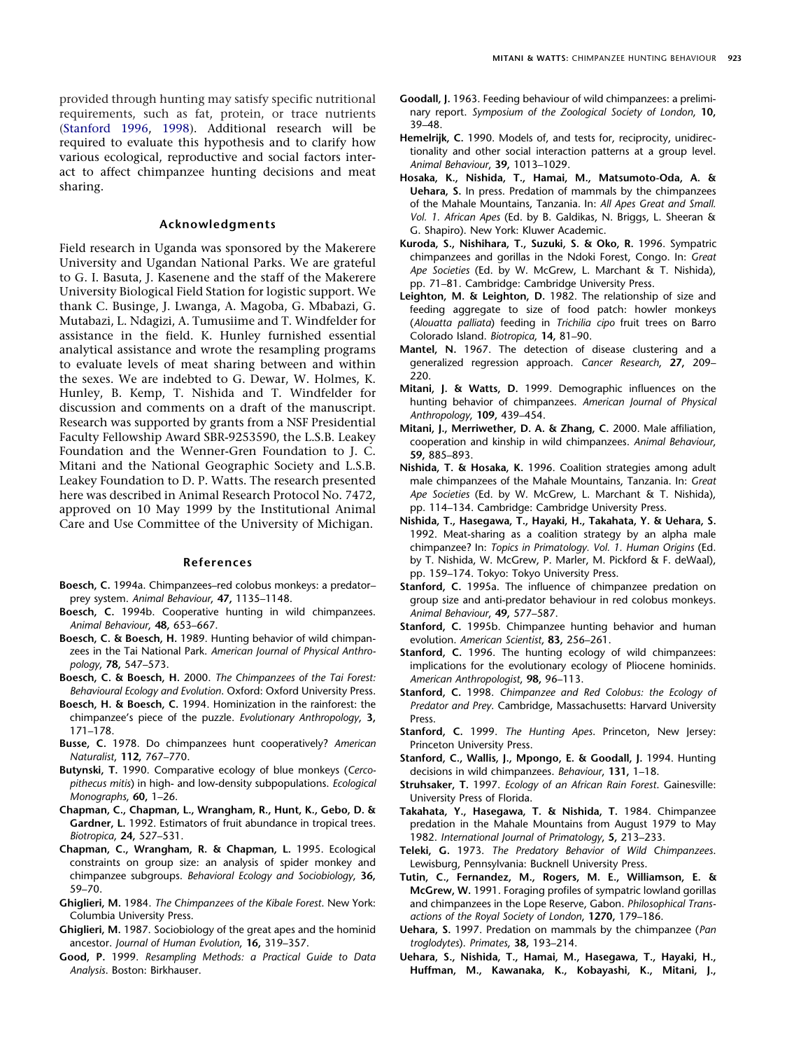provided through hunting may satisfy specific nutritional requirements, such as fat, protein, or trace nutrients [\(Stanford 1996,](#page-8-10) [1998\)](#page-8-3). Additional research will be required to evaluate this hypothesis and to clarify how various ecological, reproductive and social factors interact to affect chimpanzee hunting decisions and meat sharing.

# **Acknowledgments**

Field research in Uganda was sponsored by the Makerere University and Ugandan National Parks. We are grateful to G. I. Basuta, J. Kasenene and the staff of the Makerere University Biological Field Station for logistic support. We thank C. Businge, J. Lwanga, A. Magoba, G. Mbabazi, G. Mutabazi, L. Ndagizi, A. Tumusiime and T. Windfelder for assistance in the field. K. Hunley furnished essential analytical assistance and wrote the resampling programs to evaluate levels of meat sharing between and within the sexes. We are indebted to G. Dewar, W. Holmes, K. Hunley, B. Kemp, T. Nishida and T. Windfelder for discussion and comments on a draft of the manuscript. Research was supported by grants from a NSF Presidential Faculty Fellowship Award SBR-9253590, the L.S.B. Leakey Foundation and the Wenner-Gren Foundation to J. C. Mitani and the National Geographic Society and L.S.B. Leakey Foundation to D. P. Watts. The research presented here was described in Animal Research Protocol No. 7472, approved on 10 May 1999 by the Institutional Animal Care and Use Committee of the University of Michigan.

#### **References**

- <span id="page-8-1"></span>**Boesch, C.** 1994a. Chimpanzees–red colobus monkeys: a predator– prey system. *Animal Behaviour*, **47,** 1135–1148.
- <span id="page-8-6"></span>**Boesch, C.** 1994b. Cooperative hunting in wild chimpanzees. *Animal Behaviour*, **48,** 653–667.
- <span id="page-8-5"></span>**Boesch, C. & Boesch, H.** 1989. Hunting behavior of wild chimpanzees in the Tai National Park. *American Journal of Physical Anthropology*, **78,** 547–573.
- <span id="page-8-26"></span>**Boesch, C. & Boesch, H.** 2000. *The Chimpanzees of the Tai Forest: Behavioural Ecology and Evolution*. Oxford: Oxford University Press.
- <span id="page-8-8"></span>**Boesch, H. & Boesch, C.** 1994. Hominization in the rainforest: the chimpanzee's piece of the puzzle. *Evolutionary Anthropology*, **3,** 171–178.
- <span id="page-8-4"></span>**Busse, C.** 1978. Do chimpanzees hunt cooperatively? *American Naturalist*, **112,** 767–770.
- <span id="page-8-22"></span>**Butynski, T.** 1990. Comparative ecology of blue monkeys (*Cercopithecus mitis*) in high- and low-density subpopulations. *Ecological Monographs*, **60,** 1–26.
- <span id="page-8-28"></span>**Chapman, C., Chapman, L., Wrangham, R., Hunt, K., Gebo, D. & Gardner, L.** 1992. Estimators of fruit abundance in tropical trees. *Biotropica*, **24,** 527–531.
- <span id="page-8-16"></span>**Chapman, C., Wrangham, R. & Chapman, L.** 1995. Ecological constraints on group size: an analysis of spider monkey and chimpanzee subgroups. *Behavioral Ecology and Sociobiology*, **36,** 59–70.
- <span id="page-8-21"></span>**Ghiglieri, M.** 1984. *The Chimpanzees of the Kibale Forest*. New York: Columbia University Press.
- <span id="page-8-7"></span>**Ghiglieri, M.** 1987. Sociobiology of the great apes and the hominid ancestor. *Journal of Human Evolution*, **16,** 319–357.
- <span id="page-8-29"></span>**Good, P.** 1999. *Resampling Methods: a Practical Guide to Data Analysis*. Boston: Birkhauser.
- <span id="page-8-0"></span>**Goodall, J.** 1963. Feeding behaviour of wild chimpanzees: a preliminary report. *Symposium of the Zoological Society of London*, **10,** 39–48.
- <span id="page-8-30"></span>**Hemelrijk, C.** 1990. Models of, and tests for, reciprocity, unidirectionality and other social interaction patterns at a group level. *Animal Behaviour*, **39,** 1013–1029.
- <span id="page-8-25"></span>**Hosaka, K., Nishida, T., Hamai, M., Matsumoto-Oda, A. & Uehara, S.** In press. Predation of mammals by the chimpanzees of the Mahale Mountains, Tanzania. In: *All Apes Great and Small. Vol. 1. African Apes* (Ed. by B. Galdikas, N. Briggs, L. Sheeran & G. Shapiro). New York: Kluwer Academic.
- <span id="page-8-32"></span>**Kuroda, S., Nishihara, T., Suzuki, S. & Oko, R.** 1996. Sympatric chimpanzees and gorillas in the Ndoki Forest, Congo. In: *Great Ape Societies* (Ed. by W. McGrew, L. Marchant & T. Nishida), pp. 71–81. Cambridge: Cambridge University Press.
- <span id="page-8-27"></span>**Leighton, M. & Leighton, D.** 1982. The relationship of size and feeding aggregate to size of food patch: howler monkeys (*Alouatta palliata*) feeding in *Trichilia cipo* fruit trees on Barro Colorado Island. *Biotropica*, **14,** 81–90.
- <span id="page-8-31"></span>**Mantel, N.** 1967. The detection of disease clustering and a generalized regression approach. *Cancer Research*, **27,** 209– 220.
- <span id="page-8-13"></span>**Mitani, J. & Watts, D.** 1999. Demographic influences on the hunting behavior of chimpanzees. *American Journal of Physical Anthropology*, **109,** 439–454.
- <span id="page-8-24"></span>**Mitani, J., Merriwether, D. A. & Zhang, C.** 2000. Male affiliation, cooperation and kinship in wild chimpanzees. *Animal Behaviour*, **59,** 885–893.
- <span id="page-8-20"></span>**Nishida, T. & Hosaka, K.** 1996. Coalition strategies among adult male chimpanzees of the Mahale Mountains, Tanzania. In: *Great Ape Societies* (Ed. by W. McGrew, L. Marchant & T. Nishida), pp. 114–134. Cambridge: Cambridge University Press.
- <span id="page-8-19"></span>**Nishida, T., Hasegawa, T., Hayaki, H., Takahata, Y. & Uehara, S.** 1992. Meat-sharing as a coalition strategy by an alpha male chimpanzee? In: *Topics in Primatology. Vol. 1. Human Origins* (Ed. by T. Nishida, W. McGrew, P. Marler, M. Pickford & F. deWaal), pp. 159–174. Tokyo: Tokyo University Press.
- <span id="page-8-2"></span>**Stanford, C.** 1995a. The influence of chimpanzee predation on group size and anti-predator behaviour in red colobus monkeys. *Animal Behaviour*, **49,** 577–587.
- <span id="page-8-9"></span>**Stanford, C.** 1995b. Chimpanzee hunting behavior and human evolution. *American Scientist*, **83,** 256–261.
- <span id="page-8-10"></span>**Stanford, C.** 1996. The hunting ecology of wild chimpanzees: implications for the evolutionary ecology of Pliocene hominids. *American Anthropologist*, **98,** 96–113.
- <span id="page-8-3"></span>**Stanford, C.** 1998. *Chimpanzee and Red Colobus: the Ecology of Predator and Prey*. Cambridge, Massachusetts: Harvard University Press.
- <span id="page-8-11"></span>**Stanford, C.** 1999. *The Hunting Apes*. Princeton, New Jersey: Princeton University Press.
- <span id="page-8-14"></span>**Stanford, C., Wallis, J., Mpongo, E. & Goodall, J.** 1994. Hunting decisions in wild chimpanzees. *Behaviour*, **131,** 1–18.
- <span id="page-8-23"></span>**Struhsaker, T.** 1997. *Ecology of an African Rain Forest*. Gainesville: University Press of Florida.
- <span id="page-8-18"></span>**Takahata, Y., Hasegawa, T. & Nishida, T.** 1984. Chimpanzee predation in the Mahale Mountains from August 1979 to May 1982. *International Journal of Primatology*, **5,** 213–233.
- <span id="page-8-17"></span>**Teleki, G.** 1973. *The Predatory Behavior of Wild Chimpanzees*. Lewisburg, Pennsylvania: Bucknell University Press.
- <span id="page-8-15"></span>**Tutin, C., Fernandez, M., Rogers, M. E., Williamson, E. & McGrew, W.** 1991. Foraging profiles of sympatric lowland gorillas and chimpanzees in the Lope Reserve, Gabon. *Philosophical Transactions of the Royal Society of London*, **1270,** 179–186.
- <span id="page-8-12"></span>**Uehara, S.** 1997. Predation on mammals by the chimpanzee (*Pan troglodytes*). *Primates*, **38,** 193–214.
- <span id="page-8-33"></span>**Uehara, S., Nishida, T., Hamai, M., Hasegawa, T., Hayaki, H., Huffman, M., Kawanaka, K., Kobayashi, K., Mitani, J.,**